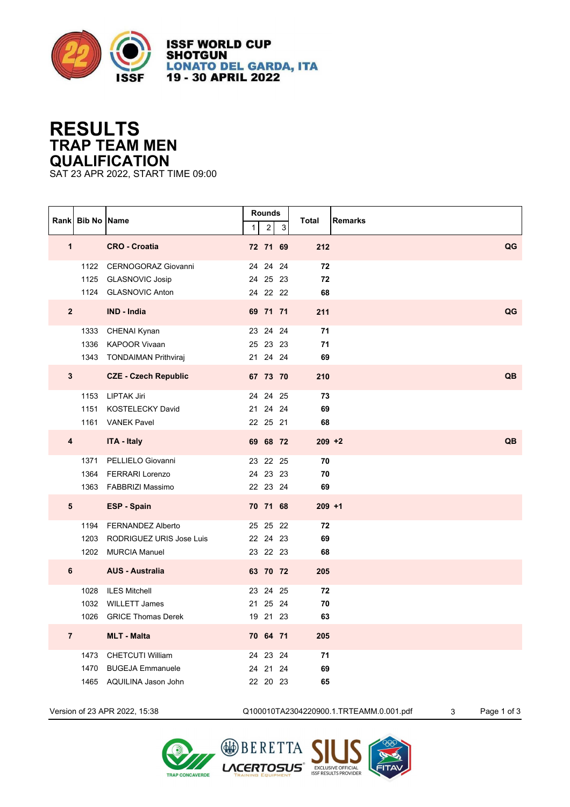

**ISSF WORLD CUP SHOTGUN LONATO DEL GARDA, ITA** 19 - 30 APRIL 2022

## **RESULTS TRAP TEAM MEN QUALIFICATION**

SAT 23 APR 2022, START TIME 09:00

|                | Rank Bib No Name |                               | $\mathbf{1}$ | <b>Rounds</b><br>$\overline{c}$ | 3  | Total     | <b>Remarks</b> |
|----------------|------------------|-------------------------------|--------------|---------------------------------|----|-----------|----------------|
| $\overline{1}$ |                  | <b>CRO - Croatia</b>          |              | 72 71 69                        |    | 212       | QG             |
|                |                  | 1122 CERNOGORAZ Giovanni      |              | 24 24 24                        |    | 72        |                |
|                |                  | 1125 GLASNOVIC Josip          |              | 24 25 23                        |    | 72        |                |
|                |                  | 1124 GLASNOVIC Anton          |              | 24 22 22                        |    | 68        |                |
| $\mathbf{2}$   |                  | IND - India                   |              | 69 71 71                        |    | 211       | QG             |
|                |                  | 1333 CHENAI Kynan             |              | 23 24 24                        |    | 71        |                |
|                |                  | 1336 KAPOOR Vivaan            |              | 25 23 23                        |    | 71        |                |
|                |                  | 1343 TONDAIMAN Prithviraj     |              | 21 24 24                        |    | 69        |                |
| $3\phantom{a}$ |                  | <b>CZE - Czech Republic</b>   |              | 67 73 70                        |    | 210       | QB             |
|                |                  | 1153 LIPTAK Jiri              |              | 24 24 25                        |    | 73        |                |
|                |                  | 1151 KOSTELECKY David         |              | 21 24 24                        |    | 69        |                |
|                |                  | 1161 VANEK Pavel              |              | 22 25 21                        |    | 68        |                |
| 4              |                  | <b>ITA - Italy</b>            |              | 69 68 72                        |    | $209 + 2$ | QB             |
|                |                  | 1371 PELLIELO Giovanni        |              | 23 22 25                        |    | 70        |                |
|                | 1364             | FERRARI Lorenzo               |              | 24 23 23                        |    | 70        |                |
|                |                  | 1363 FABBRIZI Massimo         |              | 22 23 24                        |    | 69        |                |
| 5              |                  | <b>ESP - Spain</b>            |              | 70 71 68                        |    | $209 + 1$ |                |
|                |                  | 1194 FERNANDEZ Alberto        |              | 25 25 22                        |    | 72        |                |
|                |                  | 1203 RODRIGUEZ URIS Jose Luis |              | 22 24 23                        |    | 69        |                |
|                |                  | 1202 MURCIA Manuel            |              | 23 22 23                        |    | 68        |                |
| 6              |                  | <b>AUS - Australia</b>        |              | 63 70 72                        |    | 205       |                |
|                | 1028             | <b>ILES Mitchell</b>          |              | 23 24 25                        |    | 72        |                |
|                |                  | 1032 WILLETT James            |              | 21 25 24                        |    | 70        |                |
|                |                  | 1026 GRICE Thomas Derek       |              | 19 21 23                        |    | 63        |                |
| $\overline{7}$ |                  | <b>MLT - Malta</b>            |              | 70 64 71                        |    | 205       |                |
|                |                  | 1473 CHETCUTI William         |              | 24 23 24                        |    | 71        |                |
|                |                  | 1470 BUGEJA Emmanuele         |              | 24 21                           | 24 | 69        |                |
|                |                  | 1465 AQUILINA Jason John      |              | 22 20 23                        |    | 65        |                |

Version of 23 APR 2022, 15:38 Q100010TA2304220900.1.TRTEAMM.0.001.pdf 3 Page 1 of 3



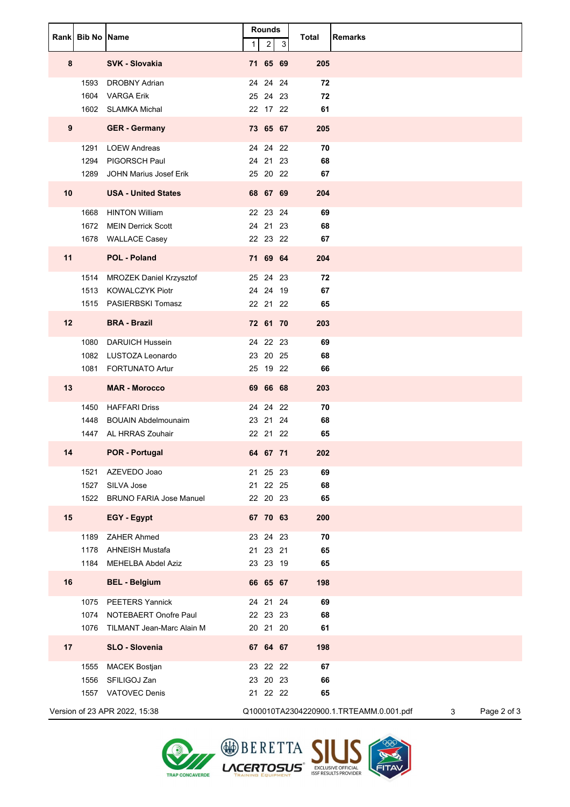|    | Rank Bib No Name     |                                                                                      | 1                                | <b>Rounds</b><br>$\overline{2}$ | 3 | <b>Total</b>   | <b>Remarks</b>                                              |
|----|----------------------|--------------------------------------------------------------------------------------|----------------------------------|---------------------------------|---|----------------|-------------------------------------------------------------|
| 8  |                      | <b>SVK - Slovakia</b>                                                                | 71 65 69                         |                                 |   | 205            |                                                             |
|    | 1593<br>1604         | <b>DROBNY Adrian</b><br><b>VARGA Erik</b><br>1602 SLAMKA Michal                      | 24 24 24<br>25 24 23<br>22 17 22 |                                 |   | 72<br>72<br>61 |                                                             |
| 9  |                      | <b>GER</b> - Germany                                                                 | 73 65 67                         |                                 |   | 205            |                                                             |
|    | 1291<br>1294<br>1289 | <b>LOEW Andreas</b><br>PIGORSCH Paul<br>JOHN Marius Josef Erik                       | 24 24 22<br>24 21 23<br>25 20 22 |                                 |   | 70<br>68<br>67 |                                                             |
| 10 |                      | <b>USA - United States</b>                                                           | 68 67 69                         |                                 |   | 204            |                                                             |
|    | 1668<br>1672         | <b>HINTON William</b><br><b>MEIN Derrick Scott</b><br>1678 WALLACE Casey             | 22 23 24<br>24 21 23<br>22 23 22 |                                 |   | 69<br>68<br>67 |                                                             |
| 11 |                      | <b>POL - Poland</b>                                                                  | 71 69 64                         |                                 |   | 204            |                                                             |
|    | 1514                 | <b>MROZEK Daniel Krzysztof</b><br>1513 KOWALCZYK Piotr<br>1515 PASIERBSKI Tomasz     | 25 24 23<br>24 24 19<br>22 21 22 |                                 |   | 72<br>67<br>65 |                                                             |
| 12 |                      | <b>BRA - Brazil</b>                                                                  | 72 61 70                         |                                 |   | 203            |                                                             |
|    | 1080<br>1081         | <b>DARUICH Hussein</b><br>1082 LUSTOZA Leonardo<br><b>FORTUNATO Artur</b>            | 24 22 23<br>23 20 25<br>25 19 22 |                                 |   | 69<br>68<br>66 |                                                             |
| 13 |                      | <b>MAR - Morocco</b>                                                                 | 69 66 68                         |                                 |   | 203            |                                                             |
|    | 1450<br>1448<br>1447 | <b>HAFFARI Driss</b><br><b>BOUAIN Abdelmounaim</b><br>AL HRRAS Zouhair               | 24 24 22<br>23 21 24<br>22 21 22 |                                 |   | 70<br>68<br>65 |                                                             |
| 14 |                      | <b>POR - Portugal</b>                                                                | 64 67 71                         |                                 |   | 202            |                                                             |
|    | 1521<br>1527         | AZEVEDO Joao<br>SILVA Jose<br>1522 BRUNO FARIA Jose Manuel                           | 21 25 23<br>21 22 25<br>22 20 23 |                                 |   | 69<br>68<br>65 |                                                             |
| 15 |                      | EGY - Egypt                                                                          | 67 70 63                         |                                 |   | 200            |                                                             |
|    | 1189                 | <b>ZAHER Ahmed</b><br>1178 AHNEISH Mustafa<br>1184 MEHELBA Abdel Aziz                | 23 24 23<br>21 23 21<br>23 23 19 |                                 |   | 70<br>65<br>65 |                                                             |
| 16 |                      | <b>BEL - Belgium</b>                                                                 | 66 65 67                         |                                 |   | 198            |                                                             |
|    |                      | 1075 PEETERS Yannick<br>1074 NOTEBAERT Onofre Paul<br>1076 TILMANT Jean-Marc Alain M | 24 21 24<br>22 23 23<br>20 21 20 |                                 |   | 69<br>68<br>61 |                                                             |
| 17 |                      | SLO - Slovenia                                                                       | 67 64 67                         |                                 |   | 198            |                                                             |
|    | 1555<br>1556<br>1557 | <b>MACEK Bostjan</b><br>SFILIGOJ Zan<br><b>VATOVEC Denis</b>                         | 23 22 22<br>23 20 23<br>21 22 22 |                                 |   | 67<br>66<br>65 |                                                             |
|    |                      | Version of 23 APR 2022, 15:38                                                        |                                  |                                 |   |                | Q100010TA2304220900.1.TRTEAMM.0.001.pdf<br>Page 2 of 3<br>3 |